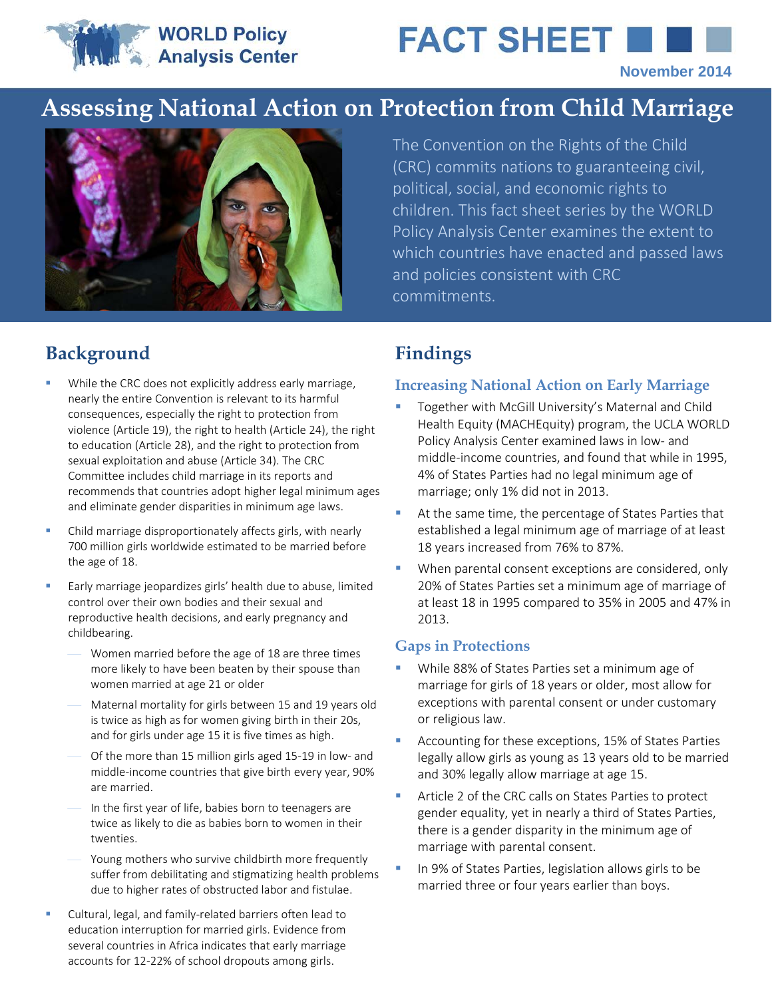**WORLD Policy Analysis Center** 



# **Assessing National Action on Protection from Child Marriage**



The Convention on the Rights of the Child (CRC) commits nations to guaranteeing civil, political, social, and economic rights to children. This fact sheet series by the WORLD Policy Analysis Center examines the extent to which countries have enacted and passed laws and policies consistent with CRC commitments.

# **Background Findings**

- While the CRC does not explicitly address early marriage, nearly the entire Convention is relevant to its harmful consequences, especially the right to protection from violence (Article 19), the right to health (Article 24), the right to education (Article 28), and the right to protection from sexual exploitation and abuse (Article 34). The CRC Committee includes child marriage in its reports and recommends that countries adopt higher legal minimum ages and eliminate gender disparities in minimum age laws.
- Child marriage disproportionately affects girls, with nearly 700 million girls worldwide estimated to be married before the age of 18.
- **Early marriage jeopardizes girls' health due to abuse, limited** control over their own bodies and their sexual and reproductive health decisions, and early pregnancy and childbearing.
	- Women married before the age of 18 are three times more likely to have been beaten by their spouse than women married at age 21 or older
	- Maternal mortality for girls between 15 and 19 years old is twice as high as for women giving birth in their 20s, and for girls under age 15 it is five times as high.
	- Of the more than 15 million girls aged 15-19 in low- and middle-income countries that give birth every year, 90% are married.
	- In the first year of life, babies born to teenagers are twice as likely to die as babies born to women in their twenties.
	- Young mothers who survive childbirth more frequently suffer from debilitating and stigmatizing health problems due to higher rates of obstructed labor and fistulae.
- Cultural, legal, and family-related barriers often lead to education interruption for married girls. Evidence from several countries in Africa indicates that early marriage accounts for 12-22% of school dropouts among girls.

#### **Increasing National Action on Early Marriage**

- **Together with McGill University's Maternal and Child** Health Equity (MACHEquity) program, the UCLA WORLD Policy Analysis Center examined laws in low- and middle-income countries, and found that while in 1995, 4% of States Parties had no legal minimum age of marriage; only 1% did not in 2013.
- At the same time, the percentage of States Parties that established a legal minimum age of marriage of at least 18 years increased from 76% to 87%.
- **When parental consent exceptions are considered, only** 20% of States Parties set a minimum age of marriage of at least 18 in 1995 compared to 35% in 2005 and 47% in 2013.

#### **Gaps in Protections**

- While 88% of States Parties set a minimum age of marriage for girls of 18 years or older, most allow for exceptions with parental consent or under customary or religious law.
- **Accounting for these exceptions, 15% of States Parties** legally allow girls as young as 13 years old to be married and 30% legally allow marriage at age 15.
- Article 2 of the CRC calls on States Parties to protect gender equality, yet in nearly a third of States Parties, there is a gender disparity in the minimum age of marriage with parental consent.
- In 9% of States Parties, legislation allows girls to be married three or four years earlier than boys.